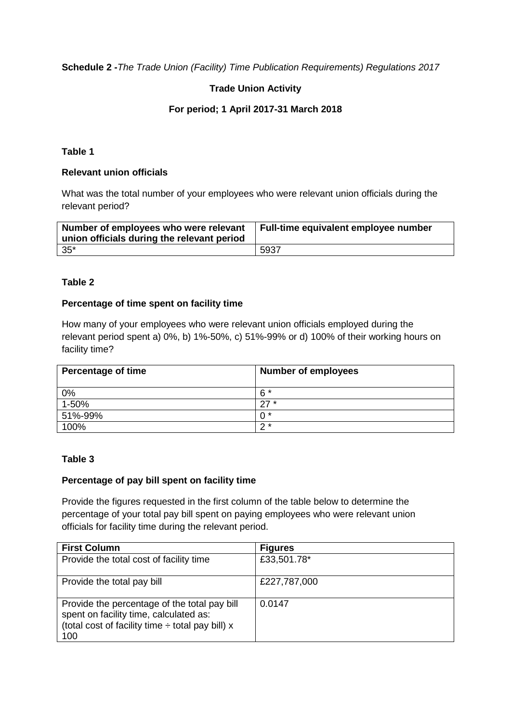**Schedule 2 -***The Trade Union (Facility) Time Publication Requirements) Regulations 2017*

# **Trade Union Activity**

## **For period; 1 April 2017-31 March 2018**

## **Table 1**

## **Relevant union officials**

What was the total number of your employees who were relevant union officials during the relevant period?

| Number of employees who were relevant<br>union officials during the relevant period | Full-time equivalent employee number |
|-------------------------------------------------------------------------------------|--------------------------------------|
| $35*$                                                                               | 5937                                 |

## **Table 2**

### **Percentage of time spent on facility time**

How many of your employees who were relevant union officials employed during the relevant period spent a) 0%, b) 1%-50%, c) 51%-99% or d) 100% of their working hours on facility time?

| <b>Percentage of time</b> | <b>Number of employees</b> |
|---------------------------|----------------------------|
| 0%                        | $6*$                       |
| $1 - 50\%$                | $27 *$                     |
| 51%-99%                   | ∩ *                        |
| 100%                      | າ ∗                        |

## **Table 3**

#### **Percentage of pay bill spent on facility time**

Provide the figures requested in the first column of the table below to determine the percentage of your total pay bill spent on paying employees who were relevant union officials for facility time during the relevant period.

| <b>First Column</b>                                                                                                                                    | <b>Figures</b> |
|--------------------------------------------------------------------------------------------------------------------------------------------------------|----------------|
| Provide the total cost of facility time                                                                                                                | £33,501.78*    |
| Provide the total pay bill                                                                                                                             | £227,787,000   |
| Provide the percentage of the total pay bill<br>spent on facility time, calculated as:<br>(total cost of facility time $\div$ total pay bill) x<br>100 | 0.0147         |